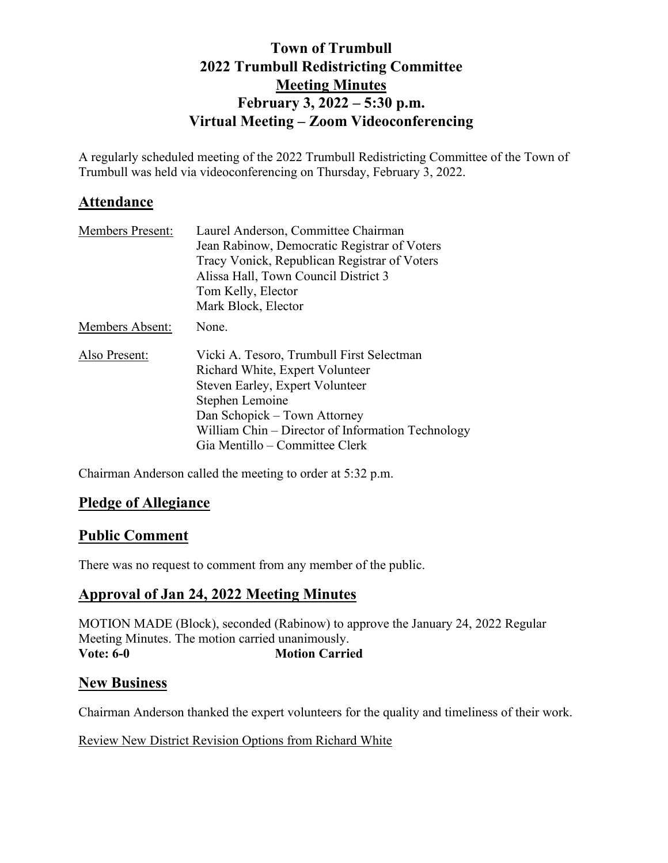# **Town of Trumbull 2022 Trumbull Redistricting Committee Meeting Minutes February 3, 2022 – 5:30 p.m. Virtual Meeting – Zoom Videoconferencing**

A regularly scheduled meeting of the 2022 Trumbull Redistricting Committee of the Town of Trumbull was held via videoconferencing on Thursday, February 3, 2022.

# **Attendance**

| <b>Members Present:</b> | Laurel Anderson, Committee Chairman               |
|-------------------------|---------------------------------------------------|
|                         | Jean Rabinow, Democratic Registrar of Voters      |
|                         | Tracy Vonick, Republican Registrar of Voters      |
|                         | Alissa Hall, Town Council District 3              |
|                         | Tom Kelly, Elector                                |
|                         | Mark Block, Elector                               |
| <b>Members Absent:</b>  | None.                                             |
| Also Present:           | Vicki A. Tesoro, Trumbull First Selectman         |
|                         | Richard White, Expert Volunteer                   |
|                         | Steven Earley, Expert Volunteer                   |
|                         | Stephen Lemoine                                   |
|                         | Dan Schopick – Town Attorney                      |
|                         | William Chin – Director of Information Technology |
|                         | Gia Mentillo – Committee Clerk                    |

Chairman Anderson called the meeting to order at 5:32 p.m.

# **Pledge of Allegiance**

# **Public Comment**

There was no request to comment from any member of the public.

## **Approval of Jan 24, 2022 Meeting Minutes**

MOTION MADE (Block), seconded (Rabinow) to approve the January 24, 2022 Regular Meeting Minutes. The motion carried unanimously. **Vote: 6-0 Motion Carried** 

## **New Business**

Chairman Anderson thanked the expert volunteers for the quality and timeliness of their work.

## Review New District Revision Options from Richard White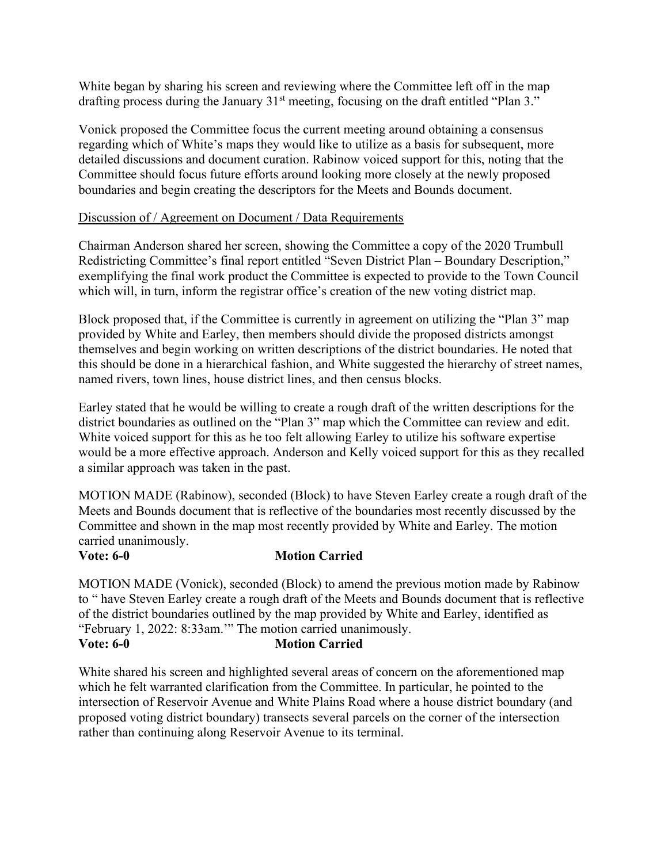White began by sharing his screen and reviewing where the Committee left off in the map drafting process during the January  $31<sup>st</sup>$  meeting, focusing on the draft entitled "Plan 3."

Vonick proposed the Committee focus the current meeting around obtaining a consensus regarding which of White's maps they would like to utilize as a basis for subsequent, more detailed discussions and document curation. Rabinow voiced support for this, noting that the Committee should focus future efforts around looking more closely at the newly proposed boundaries and begin creating the descriptors for the Meets and Bounds document.

### Discussion of / Agreement on Document / Data Requirements

Chairman Anderson shared her screen, showing the Committee a copy of the 2020 Trumbull Redistricting Committee's final report entitled "Seven District Plan – Boundary Description," exemplifying the final work product the Committee is expected to provide to the Town Council which will, in turn, inform the registrar office's creation of the new voting district map.

Block proposed that, if the Committee is currently in agreement on utilizing the "Plan 3" map provided by White and Earley, then members should divide the proposed districts amongst themselves and begin working on written descriptions of the district boundaries. He noted that this should be done in a hierarchical fashion, and White suggested the hierarchy of street names, named rivers, town lines, house district lines, and then census blocks.

Earley stated that he would be willing to create a rough draft of the written descriptions for the district boundaries as outlined on the "Plan 3" map which the Committee can review and edit. White voiced support for this as he too felt allowing Earley to utilize his software expertise would be a more effective approach. Anderson and Kelly voiced support for this as they recalled a similar approach was taken in the past.

MOTION MADE (Rabinow), seconded (Block) to have Steven Earley create a rough draft of the Meets and Bounds document that is reflective of the boundaries most recently discussed by the Committee and shown in the map most recently provided by White and Earley. The motion carried unanimously.

### **Vote: 6-0 Motion Carried**

MOTION MADE (Vonick), seconded (Block) to amend the previous motion made by Rabinow to " have Steven Earley create a rough draft of the Meets and Bounds document that is reflective of the district boundaries outlined by the map provided by White and Earley, identified as "February 1, 2022: 8:33am.'" The motion carried unanimously. **Vote: 6-0 Motion Carried** 

White shared his screen and highlighted several areas of concern on the aforementioned map which he felt warranted clarification from the Committee. In particular, he pointed to the intersection of Reservoir Avenue and White Plains Road where a house district boundary (and proposed voting district boundary) transects several parcels on the corner of the intersection rather than continuing along Reservoir Avenue to its terminal.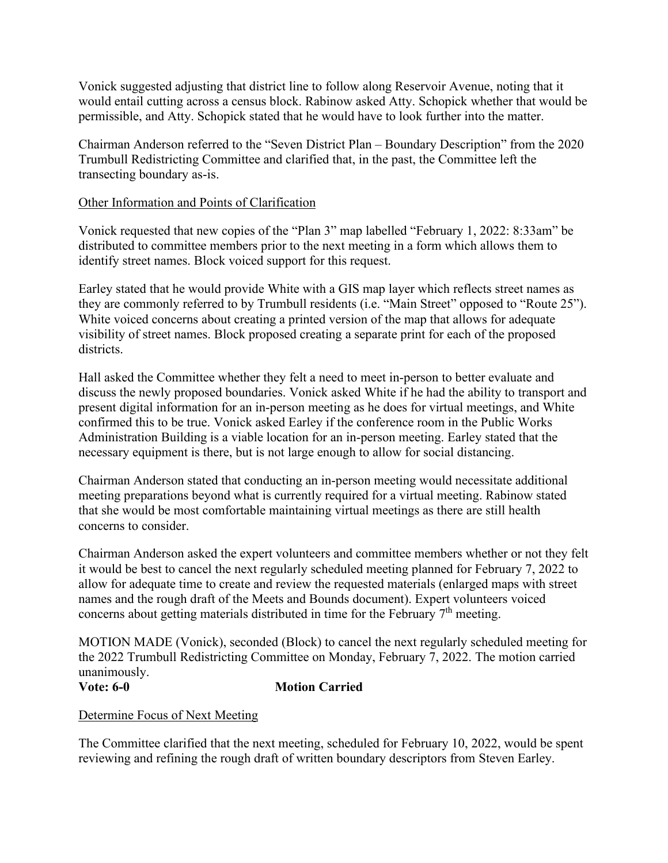Vonick suggested adjusting that district line to follow along Reservoir Avenue, noting that it would entail cutting across a census block. Rabinow asked Atty. Schopick whether that would be permissible, and Atty. Schopick stated that he would have to look further into the matter.

Chairman Anderson referred to the "Seven District Plan – Boundary Description" from the 2020 Trumbull Redistricting Committee and clarified that, in the past, the Committee left the transecting boundary as-is.

## Other Information and Points of Clarification

Vonick requested that new copies of the "Plan 3" map labelled "February 1, 2022: 8:33am" be distributed to committee members prior to the next meeting in a form which allows them to identify street names. Block voiced support for this request.

Earley stated that he would provide White with a GIS map layer which reflects street names as they are commonly referred to by Trumbull residents (i.e. "Main Street" opposed to "Route 25"). White voiced concerns about creating a printed version of the map that allows for adequate visibility of street names. Block proposed creating a separate print for each of the proposed districts.

Hall asked the Committee whether they felt a need to meet in-person to better evaluate and discuss the newly proposed boundaries. Vonick asked White if he had the ability to transport and present digital information for an in-person meeting as he does for virtual meetings, and White confirmed this to be true. Vonick asked Earley if the conference room in the Public Works Administration Building is a viable location for an in-person meeting. Earley stated that the necessary equipment is there, but is not large enough to allow for social distancing.

Chairman Anderson stated that conducting an in-person meeting would necessitate additional meeting preparations beyond what is currently required for a virtual meeting. Rabinow stated that she would be most comfortable maintaining virtual meetings as there are still health concerns to consider.

Chairman Anderson asked the expert volunteers and committee members whether or not they felt it would be best to cancel the next regularly scheduled meeting planned for February 7, 2022 to allow for adequate time to create and review the requested materials (enlarged maps with street names and the rough draft of the Meets and Bounds document). Expert volunteers voiced concerns about getting materials distributed in time for the February  $7<sup>th</sup>$  meeting.

MOTION MADE (Vonick), seconded (Block) to cancel the next regularly scheduled meeting for the 2022 Trumbull Redistricting Committee on Monday, February 7, 2022. The motion carried unanimously. **Vote: 6-0 Motion Carried** 

### Determine Focus of Next Meeting

The Committee clarified that the next meeting, scheduled for February 10, 2022, would be spent reviewing and refining the rough draft of written boundary descriptors from Steven Earley.